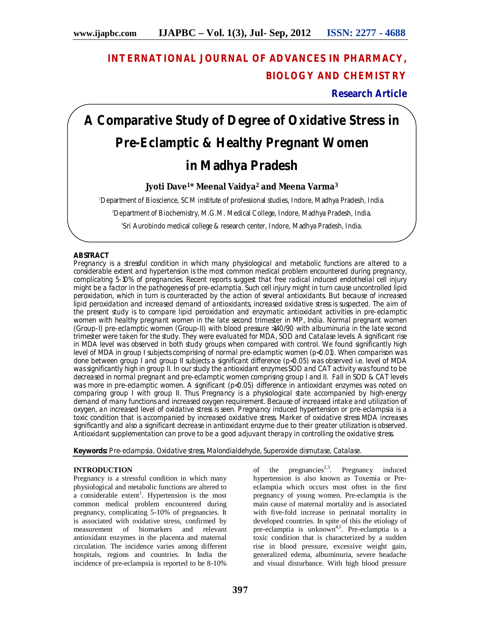# **INTERNATIONAL JOURNAL OF ADVANCES IN PHARMACY, BIOLOGY AND CHEMISTRY**

**Research Article**

# **A Comparative Study of Degree of Oxidative Stress in Pre-Eclamptic & Healthy Pregnant Women in Madhya Pradesh**

# **Jyoti Dave1\* Meenal Vaidya<sup>2</sup> and Meena Varma<sup>3</sup>**

<sup>1</sup>Department of Bioscience, SCM institute of professional studies, Indore, Madhya Pradesh, India.

<sup>2</sup>Department of Biochemistry, M.G.M. Medical College, Indore, Madhya Pradesh, India.

3 Sri Aurobindo medical college & research center, Indore, Madhya Pradesh, India.

## **ABSTRACT**

Pregnancy is a stressful condition in which many physiological and metabolic functions are altered to a considerable extent and hypertension is the most common medical problem encountered during pregnancy, complicating 5-10% of pregnancies. Recent reports suggest that free radical induced endothelial cell injury might be a factor in the pathogenesis of pre-eclamptia. Such cell injury might in turn cause uncontrolled lipid peroxidation, which in turn is counteracted by the action of several antioxidants. But because of increased lipid peroxidation and increased demand of antioxidants, increased oxidative stress is suspected. The aim of the present study is to compare lipid peroxidation and enzymatic antioxidant activities in pre-eclamptic women with healthy pregnant women in the late second trimester in MP, India. Normal pregnant women (Group-I) pre-eclamptic women (Group-II) with blood pressure >140/90 with albuminuria in the late second trimester were taken for the study. They were evaluated for MDA, SOD and Catalase levels. A significant rise in MDA level was observed in both study groups when compared with control. We found significantly high level of MDA in group I subjects comprising of normal pre-eclamptic women (p<0.01). When comparison was done between group I and group II subjects a significant difference (p<0.05) was observed i.e. level of MDA was significantly high in group II. In our study the antioxidant enzymes SOD and CAT activity was found to be decreased in normal pregnant and pre-eclamptic women comprising group I and II. Fall in SOD & CAT levels was more in pre-eclamptic women. A significant (p<0.05) difference in antioxidant enzymes was noted on comparing group I with group II. Thus Pregnancy is a physiological state accompanied by high-energy demand of many functions and increased oxygen requirement. Because of increased intake and utilization of oxygen, an increased level of oxidative stress is seen. Pregnancy induced hypertension or pre-eclampsia is a toxic condition that is accompanied by increased oxidative stress. Marker of oxidative stress MDA increases significantly and also a significant decrease in antioxidant enzyme due to their greater utilization is observed. Antioxidant supplementation can prove to be a good adjuvant therapy in controlling the oxidative stress.

**Keywords:** Pre-eclampsia, Oxidative stress, Malondialdehyde, Superoxide dismutase, Catalase.

## **INTRODUCTION**

Pregnancy is a stressful condition in which many physiological and metabolic functions are altered to a considerable extent<sup>1</sup>. Hypertension is the most common medical problem encountered during pregnancy, complicating 5-10% of pregnancies. It is associated with oxidative stress, confirmed by measurement of biomarkers and relevant antioxidant enzymes in the placenta and maternal circulation. The incidence varies among different hospitals, regions and countries. In India the incidence of pre-eclampsia is reported to be 8-10%

of the pregnancies<sup>2,3</sup>. Pregnancy induced hypertension is also known as Toxemia or Preeclamptia which occurs most often in the first pregnancy of young women. Pre-eclamptia is the main cause of maternal mortality and is associated with five-fold increase in perinatal mortality in developed countries. In spite of this the etiology of pre-eclamptia is unknown<sup>4,5</sup>. Pre-eclamptia is a toxic condition that is characterized by a sudden rise in blood pressure, excessive weight gain, generalized edema, albuminuria, severe headache and visual disturbance. With high blood pressure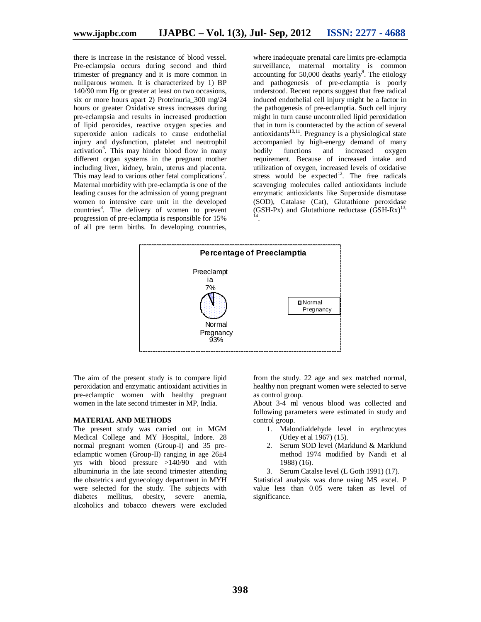there is increase in the resistance of blood vessel. Pre-eclampsia occurs during second and third trimester of pregnancy and it is more common in nulliparous women. It is characterized by 1) BP 140/90 mm Hg or greater at least on two occasions, six or more hours apart 2) Proteinuria\_300 mg/24 hours or greater Oxidative stress increases during pre-eclampsia and results in increased production of lipid peroxides, reactive oxygen species and superoxide anion radicals to cause endothelial injury and dysfunction, platelet and neutrophil activation<sup>6</sup>. This may hinder blood flow in many different organ systems in the pregnant mother including liver, kidney, brain, uterus and placenta. This may lead to various other fetal complications<sup>7</sup>. Maternal morbidity with pre-eclamptia is one of the leading causes for the admission of young pregnant women to intensive care unit in the developed countries<sup>8</sup>. The delivery of women to prevent progression of pre-eclamptia is responsible for 15% of all pre term births. In developing countries,

where inadequate prenatal care limits pre-eclamptia surveillance, maternal mortality is common accounting for  $50,000$  deaths yearly<sup>9</sup>. The etiology and pathogenesis of pre-eclamptia is poorly understood. Recent reports suggest that free radical induced endothelial cell injury might be a factor in the pathogenesis of pre-eclamptia. Such cell injury might in turn cause uncontrolled lipid peroxidation that in turn is counteracted by the action of several antioxidants $10,11$ . Pregnancy is a physiological state accompanied by high-energy demand of many<br>bodily functions and increased oxygen functions and increased oxygen requirement. Because of increased intake and utilization of oxygen, increased levels of oxidative stress would be expected<sup>12</sup>. The free radicals scavenging molecules called antioxidants include enzymatic antioxidants like Superoxide dismutase (SOD), Catalase (Cat), Glutathione peroxidase  $(GSH-Px)$  and Glutathione reductase  $(GSH-Rx)^{13}$ , .



The aim of the present study is to compare lipid peroxidation and enzymatic antioxidant activities in pre-eclamptic women with healthy pregnant women in the late second trimester in MP, India.

#### **MATERIAL AND METHODS**

The present study was carried out in MGM Medical College and MY Hospital, Indore. 28 normal pregnant women (Group-I) and 35 preeclamptic women (Group-II) ranging in age 26±4 yrs with blood pressure >140/90 and with albuminuria in the late second trimester attending the obstetrics and gynecology department in MYH were selected for the study. The subjects with diabetes mellitus, obesity, severe anemia, alcoholics and tobacco chewers were excluded

from the study. 22 age and sex matched normal, healthy non pregnant women were selected to serve as control group.

About 3-4 ml venous blood was collected and following parameters were estimated in study and control group.

- 1. Malondialdehyde level in erythrocytes (Utley et al 1967) (15).
- 2. Serum SOD level (Marklund & Marklund method 1974 modified by Nandi et al 1988) (16).
- 3. Serum Catalse level (L Goth 1991) (17).

Statistical analysis was done using MS excel. P value less than 0.05 were taken as level of significance.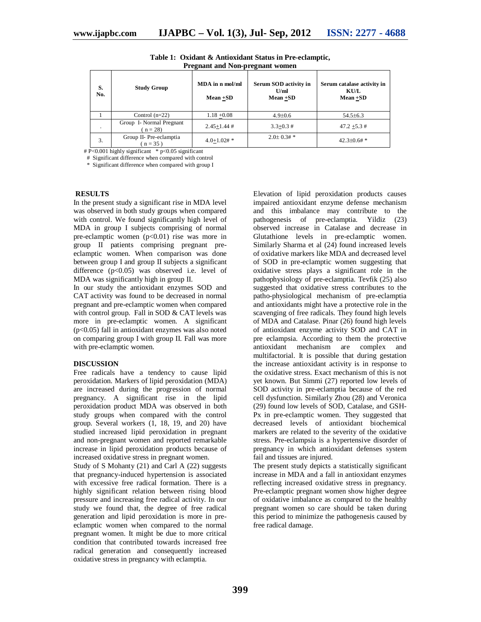| 11 reginant and 1901-pregnant women |                                       |                                |                                              |                                                   |
|-------------------------------------|---------------------------------------|--------------------------------|----------------------------------------------|---------------------------------------------------|
| S.<br>No.                           | <b>Study Group</b>                    | MDA in n mol/ml<br>$Mean + SD$ | Serum SOD activity in<br>U/ml<br>$Mean + SD$ | Serum catalase activity in<br>KU/L<br>$Mean + SD$ |
|                                     | Control $(n=22)$                      | $1.18 + 0.08$                  | $4.9 \pm 0.6$                                | $54.5\pm 6.3$                                     |
|                                     | Group I- Normal Pregnant<br>$n = 28$  | $2.45 + 1.44$ #                | $3.3 + 0.3 \#$                               | $47.2 + 5.3 \#$                                   |
| 3.                                  | Group II- Pre-eclamptia<br>$(n = 35)$ | $4.0 + 1.02#$ *                | $2.0+0.3#$                                   | $42.3 \pm 0.6 \#$ *                               |

**Table 1: Oxidant & Antioxidant Status in Pre-eclamptic, Pregnant and Non-pregnant women**

# P<0.001 highly significant \* p<0.05 significant

# Significant difference when compared with control

\* Significant difference when compared with group I

#### **RESULTS**

In the present study a significant rise in MDA level was observed in both study groups when compared with control. We found significantly high level of MDA in group I subjects comprising of normal pre-eclamptic women  $(p<0.01)$  rise was more in group II patients comprising pregnant preeclamptic women. When comparison was done between group I and group II subjects a significant difference  $(p<0.05)$  was observed i.e. level of MDA was significantly high in group II.

In our study the antioxidant enzymes SOD and CAT activity was found to be decreased in normal pregnant and pre-eclamptic women when compared with control group. Fall in SOD  $& CAT$  levels was more in pre-eclamptic women. A significant (p<0.05) fall in antioxidant enzymes was also noted on comparing group I with group II. Fall was more with pre-eclamptic women.

#### **DISCUSSION**

Free radicals have a tendency to cause lipid peroxidation. Markers of lipid peroxidation (MDA) are increased during the progression of normal pregnancy. A significant rise in the lipid peroxidation product MDA was observed in both study groups when compared with the control group. Several workers (1, 18, 19, and 20) have studied increased lipid peroxidation in pregnant and non-pregnant women and reported remarkable increase in lipid peroxidation products because of increased oxidative stress in pregnant women.

Study of S Mohanty (21) and Carl A (22) suggests that pregnancy-induced hypertension is associated with excessive free radical formation. There is a highly significant relation between rising blood pressure and increasing free radical activity. In our study we found that, the degree of free radical generation and lipid peroxidation is more in preeclamptic women when compared to the normal pregnant women. It might be due to more critical condition that contributed towards increased free radical generation and consequently increased oxidative stress in pregnancy with eclamptia.

Elevation of lipid peroxidation products causes impaired antioxidant enzyme defense mechanism and this imbalance may contribute to the pathogenesis of pre-eclamptia. Yildiz (23) observed increase in Catalase and decrease in Glutathione levels in pre-eclamptic women. Similarly Sharma et al (24) found increased levels of oxidative markers like MDA and decreased level of SOD in pre-eclamptic women suggesting that oxidative stress plays a significant role in the pathophysiology of pre-eclamptia. Tevfik (25) also suggested that oxidative stress contributes to the patho-physiological mechanism of pre-eclamptia and antioxidants might have a protective role in the scavenging of free radicals. They found high levels of MDA and Catalase. Pinar (26) found high levels of antioxidant enzyme activity SOD and CAT in pre eclampsia. According to them the protective antioxidant mechanism are complex and multifactorial. It is possible that during gestation the increase antioxidant activity is in response to the oxidative stress. Exact mechanism of this is not yet known. But Simmi (27) reported low levels of SOD activity in pre-eclamptia because of the red cell dysfunction. Similarly Zhou (28) and Veronica (29) found low levels of SOD, Catalase, and GSH-Px in pre-eclamptic women. They suggested that decreased levels of antioxidant biochemical markers are related to the severity of the oxidative stress. Pre-eclampsia is a hypertensive disorder of pregnancy in which antioxidant defenses system fail and tissues are injured.

The present study depicts a statistically significant increase in MDA and a fall in antioxidant enzymes reflecting increased oxidative stress in pregnancy. Pre-eclamptic pregnant women show higher degree of oxidative imbalance as compared to the healthy pregnant women so care should be taken during this period to minimize the pathogenesis caused by free radical damage.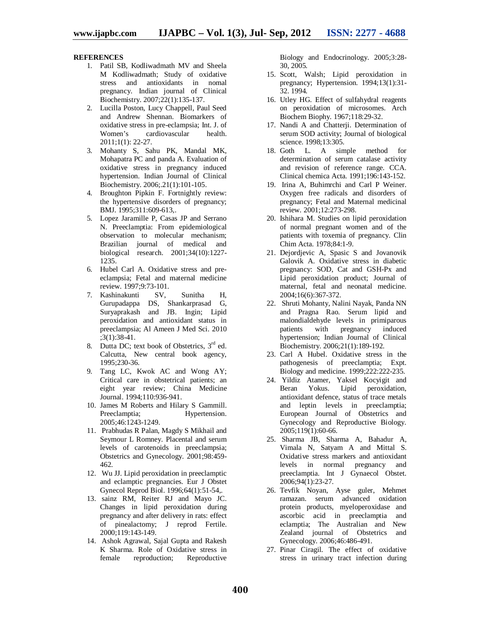## **REFERENCES**

- 1. Patil SB, Kodliwadmath MV and Sheela M Kodliwadmath; Study of oxidative stress and antioxidants in nomal pregnancy. Indian journal of Clinical Biochemistry. 2007;22(1):135-137.
- 2. Lucilla Poston, Lucy Chappell, Paul Seed and Andrew Shennan. Biomarkers of oxidative stress in pre-eclampsia; Int. J. of cardiovascular 2011;1(1): 22-27.
- 3. Mohanty S, Sahu PK, Mandal MK, Mohapatra PC and panda A. Evaluation of oxidative stress in pregnancy induced hypertension. Indian Journal of Clinical Biochemistry. 2006;.21(1):101-105.
- 4. Broughton Pipkin F. Fortnightly review: the hypertensive disorders of pregnancy; BMJ. 1995;311:609-613,.
- 5. Lopez Jaramille P, Casas JP and Serrano N. Preeclamptia: From epidemiological observation to molecular mechanism; Brazilian journal of medical and biological research. 2001;34(10):1227- 1235.
- 6. Hubel Carl A. Oxidative stress and preeclampsia; Fetal and maternal medicine review. 1997;9:73-101.
- 7. Kashinakunti SV, Sunitha H, Gurupadappa DS, Shankarprasad G, Suryaprakash and JB. Ingin; Lipid peroxidation and antioxidant status in preeclampsia; Al Ameen J Med Sci. 2010 ;3(1):38-41.
- 8. Dutta DC; text book of Obstetrics, 3<sup>rd</sup> ed. Calcutta, New central book agency, 1995;230-36.
- 9. Tang LC, Kwok AC and Wong AY; Critical care in obstetrical patients; an eight year review; China Medicine Journal. 1994;110:936-941.
- 10. James M Roberts and Hilary S Gammill. Preeclamptia; Hypertension. 2005;46:1243-1249.
- 11. Prabhudas R Palan, Magdy S Mikhail and Seymour L Romney. Placental and serum levels of carotenoids in preeclampsia; Obstetrics and Gynecology. 2001;98:459- 462.
- 12. Wu JJ. Lipid peroxidation in preeclamptic and eclamptic pregnancies. Eur J Obstet Gynecol Reprod Biol. 1996;64(1):51-54,.
- 13. sainz RM, Reiter RJ and Mayo JC. Changes in lipid peroxidation during pregnancy and after delivery in rats: effect of pinealactomy; J reprod Fertile. 2000;119:143-149.
- 14. Ashok Agrawal, Sajal Gupta and Rakesh K Sharma. Role of Oxidative stress in female reproduction; Reproductive

Biology and Endocrinology. 2005;3:28- 30, 2005.

- 15. Scott, Walsh; Lipid peroxidation in pregnancy; Hypertension. 1994;13(1):31- 32. 1994.
- 16. Utley HG. Effect of sulfahydral reagents on peroxidation of microsomes. Arch Biochem Biophy. 1967;118:29-32.
- 17. Nandi A and Chatterji. Determination of serum SOD activity; Journal of biological science. 1998;13:305.
- 18. Goth L. A simple method for determination of serum catalase activity and revision of reference range. CCA. Clinical chemica Acta. 1991;196:143-152.
- 19. Irina A, Buhimrchi and Carl P Weiner. Oxygen free radicals and disorders of pregnancy; Fetal and Maternal medicinal review. 2001;12:273-298.
- 20. Ishihara M. Studies on lipid peroxidation of normal pregnant women and of the patients with toxemia of pregnancy. Clin Chim Acta. 1978;84:1-9.
- 21. Dejordjevic A, Spasic S and Jovanovik Galovik A. Oxidative stress in diabetic pregnancy: SOD, Cat and GSH-Px and Lipid peroxidation product; Journal of maternal, fetal and neonatal medicine. 2004;16(6):367-372.
- 22. Shruti Mohanty, Nalini Nayak, Panda NN and Pragna Rao. Serum lipid and malondialdehyde levels in primiparous patients with pregnancy induced hypertension; Indian Journal of Clinical Biochemistry. 2006;21(1):189-192.
- 23. Carl A Hubel. Oxidative stress in the pathogenesis of preeclamptia; Expt. Biology and medicine. 1999;222:222-235.
- 24. Yildiz Atamer, Yaksel Kocyigit and Beran Yokus. Lipid peroxidation, antioxidant defence, status of trace metals and leptin levels in preeclamptia; European Journal of Obstetrics and Gynecology and Reproductive Biology. 2005;119(1):60-66.
- 25. Sharma JB, Sharma A, Bahadur A, Vimala N, Satyam A and Mittal S. Oxidative stress markers and antioxidant levels in normal pregnancy and preeclamptia. Int J Gynaecol Obstet. 2006;94(1):23-27.
- 26. Tevfik Noyan, Ayse guler, Mehmet ramazan. serum advanced oxidation protein products, myeloperoxidase and ascorbic acid in preeclamptia and eclamptia; The Australian and New Zealand journal of Obstetrics and Gynecology. 2006;46:486-491.
- 27. Pinar Ciragil. The effect of oxidative stress in urinary tract infection during